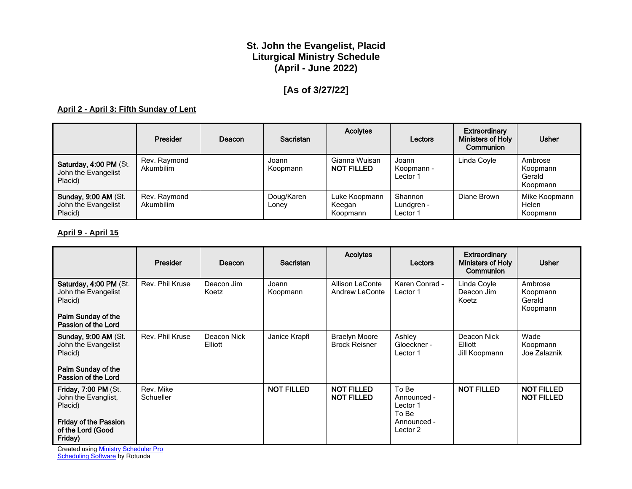# **St. John the Evangelist, Placid Liturgical Ministry Schedule (April - June 2022)**

# **[As of 3/27/22]**

#### **April 2 - April 3: Fifth Sunday of Lent**

|                                                               | Presider                  | Deacon | Sacristan           | <b>Acolytes</b>                     | Lectors                           | Extraordinary<br>Ministers of Holy<br>Communion | <b>Usher</b>                              |
|---------------------------------------------------------------|---------------------------|--------|---------------------|-------------------------------------|-----------------------------------|-------------------------------------------------|-------------------------------------------|
| Saturday, 4:00 PM (St.<br>John the Evangelist<br>Placid)      | Rev. Raymond<br>Akumbilim |        | Joann<br>Koopmann   | Gianna Wuisan<br><b>NOT FILLED</b>  | Joann<br>Koopmann -<br>Lector 1   | Linda Coyle                                     | Ambrose<br>Koopmann<br>Gerald<br>Koopmann |
| <b>Sunday, 9:00 AM (St.</b><br>John the Evangelist<br>Placid) | Rev. Raymond<br>Akumbilim |        | Doug/Karen<br>Lonev | Luke Koopmann<br>Keegan<br>Koopmann | Shannon<br>Lundgren -<br>Lector 1 | Diane Brown                                     | Mike Koopmann<br>Helen<br>Koopmann        |

#### **April 9 - April 15**

|                                                                                                                               | Presider               | Deacon                 | <b>Sacristan</b>  | <b>Acolytes</b>                              | Lectors                                                              | <b>Extraordinary</b><br><b>Ministers of Holy</b><br>Communion | <b>Usher</b>                              |
|-------------------------------------------------------------------------------------------------------------------------------|------------------------|------------------------|-------------------|----------------------------------------------|----------------------------------------------------------------------|---------------------------------------------------------------|-------------------------------------------|
| Saturday, 4:00 PM (St.<br>John the Evangelist<br>Placid)<br>Palm Sunday of the<br>Passion of the Lord                         | Rev. Phil Kruse        | Deacon Jim<br>Koetz    | Joann<br>Koopmann | Allison LeConte<br><b>Andrew LeConte</b>     | Karen Conrad -<br>Lector 1                                           | Linda Coyle<br>Deacon Jim<br>Koetz                            | Ambrose<br>Koopmann<br>Gerald<br>Koopmann |
| <b>Sunday, 9:00 AM (St.</b><br>John the Evangelist<br>Placid)<br>Palm Sunday of the<br>Passion of the Lord                    | Rev. Phil Kruse        | Deacon Nick<br>Elliott | Janice Krapfl     | <b>Braelyn Moore</b><br><b>Brock Reisner</b> | Ashley<br>Gloeckner -<br>Lector 1                                    | Deacon Nick<br>Elliott<br>Jill Koopmann                       | Wade<br>Koopmann<br>Joe Zalaznik          |
| <b>Friday, 7:00 PM (St.</b><br>John the Evanglist,<br>Placid)<br><b>Friday of the Passion</b><br>of the Lord (Good<br>Friday) | Rev. Mike<br>Schueller |                        | <b>NOT FILLED</b> | <b>NOT FILLED</b><br><b>NOT FILLED</b>       | To Be<br>Announced -<br>Lector 1<br>To Be<br>Announced -<br>Lector 2 | <b>NOT FILLED</b>                                             | <b>NOT FILLED</b><br><b>NOT FILLED</b>    |

Created using **Ministry Scheduler Pro [Scheduling Software](http://www.rotundasoftware.com/)** by Rotunda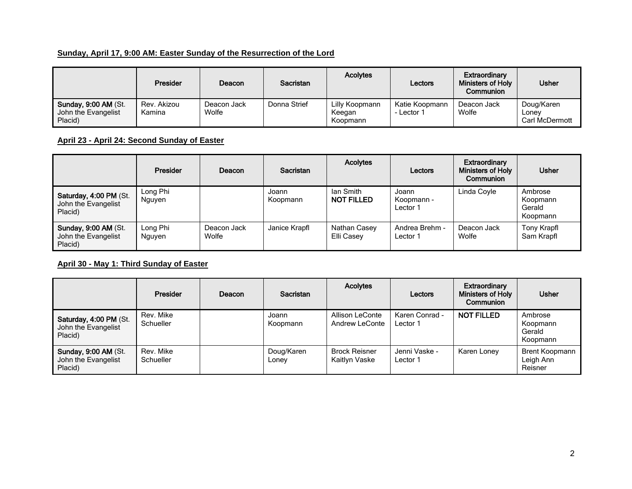# **Sunday, April 17, 9:00 AM: Easter Sunday of the Resurrection of the Lord**

|                                                               | <b>Presider</b>       | Deacon               | <b>Sacristan</b> | <b>Acolytes</b>                      | Lectors                      | <b>Extraordinary</b><br><b>Ministers of Holy</b><br>Communion | <b>Usher</b>                          |
|---------------------------------------------------------------|-----------------------|----------------------|------------------|--------------------------------------|------------------------------|---------------------------------------------------------------|---------------------------------------|
| <b>Sunday, 9:00 AM (St.</b><br>John the Evangelist<br>Placid) | Rev. Akizou<br>Kamina | Deacon Jack<br>Wolfe | Donna Strief     | Lilly Koopmann<br>Keegan<br>Koopmann | Katie Koopmann<br>- Lector 1 | Deacon Jack<br>Wolfe                                          | Doug/Karen<br>Lonev<br>Carl McDermott |

# **April 23 - April 24: Second Sunday of Easter**

|                                                               | <b>Presider</b>    | Deacon               | <b>Sacristan</b>  | <b>Acolytes</b>                | Lectors                         | <b>Extraordinary</b><br>Ministers of Holy<br>Communion | <b>Usher</b>                              |
|---------------------------------------------------------------|--------------------|----------------------|-------------------|--------------------------------|---------------------------------|--------------------------------------------------------|-------------------------------------------|
| Saturday, 4:00 PM (St.<br>John the Evangelist<br>Placid)      | Long Phi<br>Nguyen |                      | Joann<br>Koopmann | lan Smith<br><b>NOT FILLED</b> | Joann<br>Koopmann -<br>Lector 1 | Linda Coyle                                            | Ambrose<br>Koopmann<br>Gerald<br>Koopmann |
| <b>Sunday, 9:00 AM (St.</b><br>John the Evangelist<br>Placid) | Long Phi<br>Nauven | Deacon Jack<br>Wolfe | Janice Krapfl     | Nathan Casey<br>Elli Casey     | Andrea Brehm -<br>Lector 1      | Deacon Jack<br>Wolfe                                   | Tony Krapfl<br>Sam Krapfl                 |

#### **April 30 - May 1: Third Sunday of Easter**

|                                                          | Presider               | Deacon | <b>Sacristan</b>    | <b>Acolytes</b>                       | Lectors                    | Extraordinary<br>Ministers of Holy<br>Communion | <b>Usher</b>                                  |
|----------------------------------------------------------|------------------------|--------|---------------------|---------------------------------------|----------------------------|-------------------------------------------------|-----------------------------------------------|
| Saturday, 4:00 PM (St.<br>John the Evangelist<br>Placid) | Rev. Mike<br>Schueller |        | Joann<br>Koopmann   | Allison LeConte<br>Andrew LeConte     | Karen Conrad -<br>Lector 1 | <b>NOT FILLED</b>                               | Ambrose<br>Koopmann<br>Gerald<br>Koopmann     |
| Sunday, 9:00 AM (St.<br>John the Evangelist<br>Placid)   | Rev. Mike<br>Schueller |        | Doug/Karen<br>Loney | <b>Brock Reisner</b><br>Kaitlyn Vaske | Jenni Vaske -<br>Lector 1  | Karen Loney                                     | <b>Brent Koopmann</b><br>Leigh Ann<br>Reisner |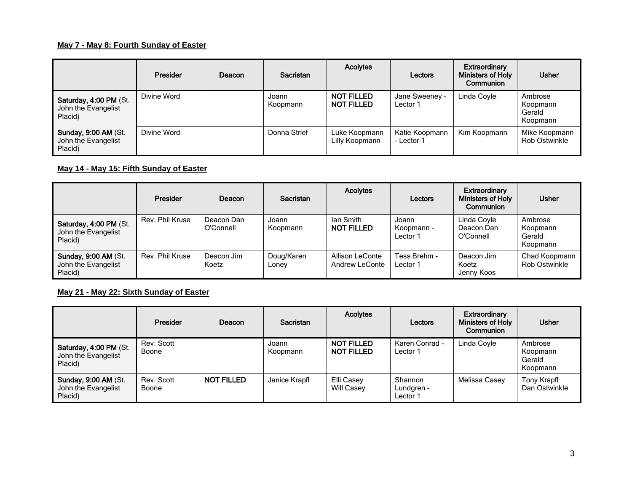## **May 7 - May 8: Fourth Sunday of Easter**

|                                                               | Presider    | Deacon | Sacristan         | <b>Acolytes</b>                        | Lectors                      | Extraordinary<br>Ministers of Holy<br>Communion | <b>Usher</b>                              |
|---------------------------------------------------------------|-------------|--------|-------------------|----------------------------------------|------------------------------|-------------------------------------------------|-------------------------------------------|
| Saturday, 4:00 PM (St.<br>John the Evangelist<br>Placid)      | Divine Word |        | Joann<br>Koopmann | <b>NOT FILLED</b><br><b>NOT FILLED</b> | Jane Sweeney -<br>Lector 1   | Linda Coyle                                     | Ambrose<br>Koopmann<br>Gerald<br>Koopmann |
| <b>Sunday, 9:00 AM (St.</b><br>John the Evangelist<br>Placid) | Divine Word |        | Donna Strief      | Luke Koopmann<br>Lilly Koopmann        | Katie Koopmann<br>- Lector 1 | Kim Koopmann                                    | Mike Koopmann<br><b>Rob Ostwinkle</b>     |

### **May 14 - May 15: Fifth Sunday of Easter**

|                                                               | Presider        | Deacon                  | <b>Sacristan</b>    | <b>Acolytes</b>                   | Lectors                         | Extraordinary<br>Ministers of Holy<br>Communion | <b>Usher</b>                              |
|---------------------------------------------------------------|-----------------|-------------------------|---------------------|-----------------------------------|---------------------------------|-------------------------------------------------|-------------------------------------------|
| Saturday, 4:00 PM (St.<br>John the Evangelist<br>Placid)      | Rev. Phil Kruse | Deacon Dan<br>O'Connell | Joann<br>Koopmann   | lan Smith<br><b>NOT FILLED</b>    | Joann<br>Koopmann -<br>Lector 1 | Linda Covle<br>Deacon Dan<br>O'Connell          | Ambrose<br>Koopmann<br>Gerald<br>Koopmann |
| <b>Sunday, 9:00 AM (St.</b><br>John the Evangelist<br>Placid) | Rev. Phil Kruse | Deacon Jim<br>Koetz     | Doug/Karen<br>Lonev | Allison LeConte<br>Andrew LeConte | Tess Brehm -<br>Lector 1        | Deacon Jim<br>Koetz<br>Jenny Koos               | Chad Koopmann<br><b>Rob Ostwinkle</b>     |

## **May 21 - May 22: Sixth Sunday of Easter**

|                                                               | Presider            | Deacon            | Sacristan         | <b>Acolytes</b>                        | Lectors                           | Extraordinary<br>Ministers of Holy<br>Communion | <b>Usher</b>                              |
|---------------------------------------------------------------|---------------------|-------------------|-------------------|----------------------------------------|-----------------------------------|-------------------------------------------------|-------------------------------------------|
| Saturday, 4:00 PM (St.<br>John the Evangelist<br>Placid)      | Rev. Scott<br>Boone |                   | Joann<br>Koopmann | <b>NOT FILLED</b><br><b>NOT FILLED</b> | Karen Conrad -<br>Lector 1        | Linda Coyle                                     | Ambrose<br>Koopmann<br>Gerald<br>Koopmann |
| <b>Sunday, 9:00 AM (St.</b><br>John the Evangelist<br>Placid) | Rev. Scott<br>Boone | <b>NOT FILLED</b> | Janice Krapfl     | Elli Casey<br>Will Casey               | Shannon<br>Lundgren -<br>Lector 1 | Melissa Casey                                   | Tony Krapfl<br>Dan Ostwinkle              |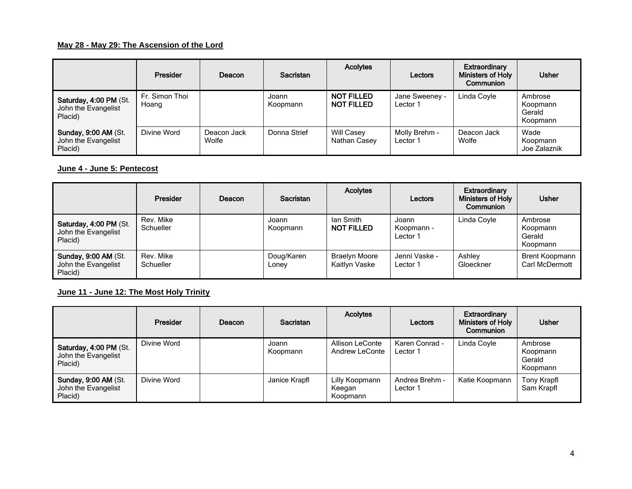### **May 28 - May 29: The Ascension of the Lord**

|                                                               | Presider                | Deacon               | <b>Sacristan</b>  | <b>Acolytes</b>                        | Lectors                    | Extraordinary<br><b>Ministers of Holy</b><br>Communion | <b>Usher</b>                              |
|---------------------------------------------------------------|-------------------------|----------------------|-------------------|----------------------------------------|----------------------------|--------------------------------------------------------|-------------------------------------------|
| Saturday, 4:00 PM (St.<br>John the Evangelist<br>Placid)      | Fr. Simon Thoi<br>Hoang |                      | Joann<br>Koopmann | <b>NOT FILLED</b><br><b>NOT FILLED</b> | Jane Sweeney -<br>Lector 1 | Linda Coyle                                            | Ambrose<br>Koopmann<br>Gerald<br>Koopmann |
| <b>Sunday, 9:00 AM (St.</b><br>John the Evangelist<br>Placid) | Divine Word             | Deacon Jack<br>Wolfe | Donna Strief      | Will Casey<br>Nathan Casey             | Molly Brehm -<br>Lector 1  | Deacon Jack<br>Wolfe                                   | Wade<br>Koopmann<br>Joe Zalaznik          |

## **June 4 - June 5: Pentecost**

|                                                               | Presider               | Deacon | <b>Sacristan</b>    | <b>Acolytes</b>                       | Lectors                         | Extraordinary<br><b>Ministers of Holy</b><br>Communion | <b>Usher</b>                              |
|---------------------------------------------------------------|------------------------|--------|---------------------|---------------------------------------|---------------------------------|--------------------------------------------------------|-------------------------------------------|
| Saturday, 4:00 PM (St.<br>John the Evangelist<br>Placid)      | Rev. Mike<br>Schueller |        | Joann<br>Koopmann   | lan Smith<br><b>NOT FILLED</b>        | Joann<br>Koopmann -<br>Lector 1 | Linda Coyle                                            | Ambrose<br>Koopmann<br>Gerald<br>Koopmann |
| <b>Sunday, 9:00 AM (St.</b><br>John the Evangelist<br>Placid) | Rev. Mike<br>Schueller |        | Doug/Karen<br>Lonev | <b>Braelyn Moore</b><br>Kaitlyn Vaske | Jenni Vaske -<br>Lector 1       | Ashlev<br>Gloeckner                                    | <b>Brent Koopmann</b><br>Carl McDermott   |

## **June 11 - June 12: The Most Holy Trinity**

|                                                               | Presider    | Deacon | Sacristan         | <b>Acolytes</b>                      | Lectors                    | Extraordinary<br>Ministers of Holy<br>Communion | <b>Usher</b>                              |
|---------------------------------------------------------------|-------------|--------|-------------------|--------------------------------------|----------------------------|-------------------------------------------------|-------------------------------------------|
| Saturday, 4:00 PM (St.<br>John the Evangelist<br>Placid)      | Divine Word |        | Joann<br>Koopmann | Allison LeConte<br>Andrew LeConte    | Karen Conrad -<br>Lector 1 | Linda Coyle                                     | Ambrose<br>Koopmann<br>Gerald<br>Koopmann |
| <b>Sunday, 9:00 AM (St.</b><br>John the Evangelist<br>Placid) | Divine Word |        | Janice Krapfl     | Lilly Koopmann<br>Keegan<br>Koopmann | Andrea Brehm -<br>Lector 1 | Katie Koopmann                                  | Tony Krapfl<br>Sam Krapfl                 |